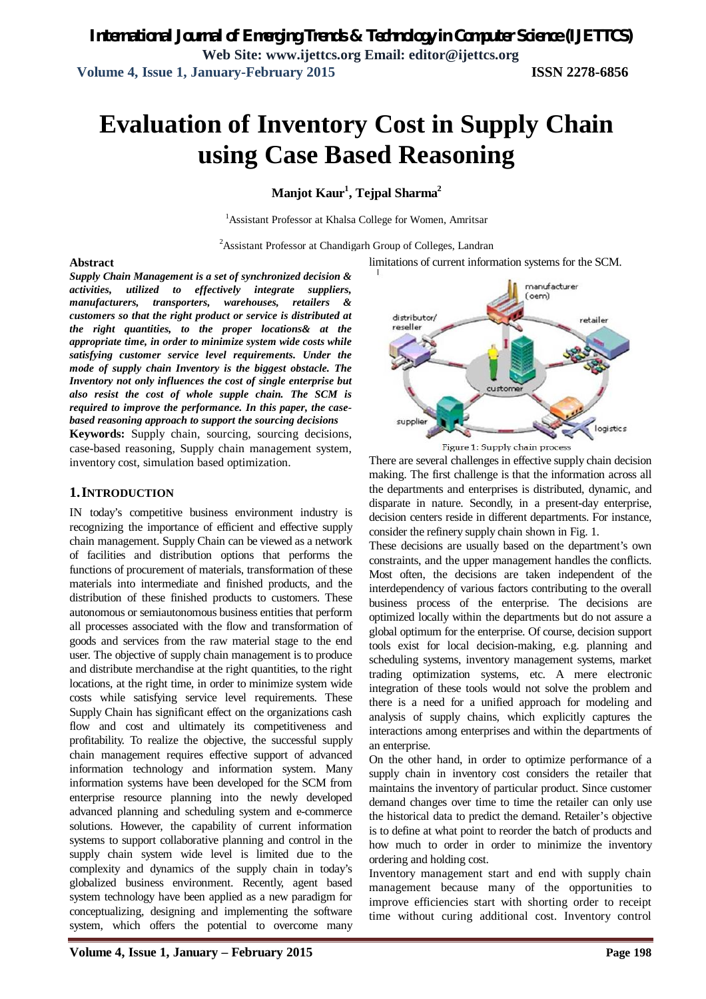# **Evaluation of Inventory Cost in Supply Chain using Case Based Reasoning**

# **Manjot Kaur<sup>1</sup> , Tejpal Sharma<sup>2</sup>**

<sup>1</sup>Assistant Professor at Khalsa College for Women, Amritsar

<sup>2</sup>Assistant Professor at Chandigarh Group of Colleges, Landran

limitations of current information systems for the SCM.

#### **Abstract**

*Supply Chain Management is a set of synchronized decision & activities, utilized to effectively integrate suppliers, manufacturers, transporters, warehouses, retailers & customers so that the right product or service is distributed at the right quantities, to the proper locations& at the appropriate time, in order to minimize system wide costs while satisfying customer service level requirements. Under the mode of supply chain Inventory is the biggest obstacle. The Inventory not only influences the cost of single enterprise but also resist the cost of whole supple chain. The SCM is required to improve the performance. In this paper, the casebased reasoning approach to support the sourcing decisions*

**Keywords:** Supply chain, sourcing, sourcing decisions, case-based reasoning, Supply chain management system, inventory cost, simulation based optimization.

### **1.INTRODUCTION**

IN today's competitive business environment industry is recognizing the importance of efficient and effective supply chain management. Supply Chain can be viewed as a network of facilities and distribution options that performs the functions of procurement of materials, transformation of these materials into intermediate and finished products, and the distribution of these finished products to customers. These autonomous or semiautonomous business entities that perform all processes associated with the flow and transformation of goods and services from the raw material stage to the end user. The objective of supply chain management is to produce and distribute merchandise at the right quantities, to the right locations, at the right time, in order to minimize system wide costs while satisfying service level requirements. These Supply Chain has significant effect on the organizations cash flow and cost and ultimately its competitiveness and profitability. To realize the objective, the successful supply chain management requires effective support of advanced information technology and information system. Many information systems have been developed for the SCM from enterprise resource planning into the newly developed advanced planning and scheduling system and e-commerce solutions. However, the capability of current information systems to support collaborative planning and control in the supply chain system wide level is limited due to the complexity and dynamics of the supply chain in today's globalized business environment. Recently, agent based system technology have been applied as a new paradigm for



Figure 1: Supply chain process

There are several challenges in effective supply chain decision making. The first challenge is that the information across all the departments and enterprises is distributed, dynamic, and disparate in nature. Secondly, in a present-day enterprise, decision centers reside in different departments. For instance, consider the refinery supply chain shown in Fig. 1.

These decisions are usually based on the department's own constraints, and the upper management handles the conflicts. Most often, the decisions are taken independent of the interdependency of various factors contributing to the overall business process of the enterprise. The decisions are optimized locally within the departments but do not assure a global optimum for the enterprise. Of course, decision support tools exist for local decision-making, e.g. planning and scheduling systems, inventory management systems, market trading optimization systems, etc. A mere electronic integration of these tools would not solve the problem and there is a need for a unified approach for modeling and analysis of supply chains, which explicitly captures the interactions among enterprises and within the departments of an enterprise.

On the other hand, in order to optimize performance of a supply chain in inventory cost considers the retailer that maintains the inventory of particular product. Since customer demand changes over time to time the retailer can only use the historical data to predict the demand. Retailer's objective is to define at what point to reorder the batch of products and how much to order in order to minimize the inventory ordering and holding cost.

Inventory management start and end with supply chain management because many of the opportunities to improve efficiencies start with shorting order to receipt time without curing additional cost. Inventory control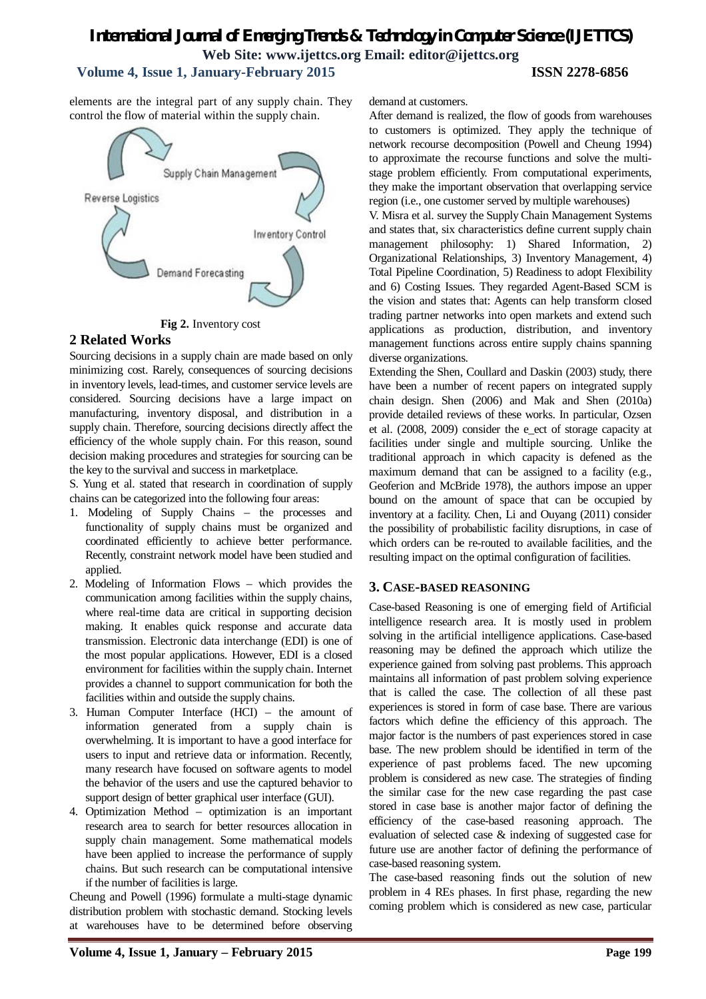# *International Journal of Emerging Trends & Technology in Computer Science (IJETTCS)* **Web Site: www.ijettcs.org Email: editor@ijettcs.org**

# **Volume 4, Issue 1, January-February 2015 ISSN 2278-6856**

elements are the integral part of any supply chain. They control the flow of material within the supply chain.





# **2 Related Works**

Sourcing decisions in a supply chain are made based on only minimizing cost. Rarely, consequences of sourcing decisions in inventory levels, lead-times, and customer service levels are considered. Sourcing decisions have a large impact on manufacturing, inventory disposal, and distribution in a supply chain. Therefore, sourcing decisions directly affect the efficiency of the whole supply chain. For this reason, sound decision making procedures and strategies for sourcing can be the key to the survival and success in marketplace.

S. Yung et al. stated that research in coordination of supply chains can be categorized into the following four areas:

- 1. Modeling of Supply Chains the processes and functionality of supply chains must be organized and coordinated efficiently to achieve better performance. Recently, constraint network model have been studied and applied.
- 2. Modeling of Information Flows which provides the communication among facilities within the supply chains, where real-time data are critical in supporting decision making. It enables quick response and accurate data transmission. Electronic data interchange (EDI) is one of the most popular applications. However, EDI is a closed environment for facilities within the supply chain. Internet provides a channel to support communication for both the facilities within and outside the supply chains.
- 3. Human Computer Interface (HCI) the amount of information generated from a supply chain is overwhelming. It is important to have a good interface for users to input and retrieve data or information. Recently, many research have focused on software agents to model the behavior of the users and use the captured behavior to support design of better graphical user interface (GUI).
- 4. Optimization Method optimization is an important research area to search for better resources allocation in supply chain management. Some mathematical models have been applied to increase the performance of supply chains. But such research can be computational intensive if the number of facilities is large.

Cheung and Powell (1996) formulate a multi-stage dynamic distribution problem with stochastic demand. Stocking levels at warehouses have to be determined before observing demand at customers.

After demand is realized, the flow of goods from warehouses to customers is optimized. They apply the technique of network recourse decomposition (Powell and Cheung 1994) to approximate the recourse functions and solve the multistage problem efficiently. From computational experiments, they make the important observation that overlapping service region (i.e., one customer served by multiple warehouses)

V. Misra et al. survey the Supply Chain Management Systems and states that, six characteristics define current supply chain management philosophy: 1) Shared Information, 2) Organizational Relationships, 3) Inventory Management, 4) Total Pipeline Coordination, 5) Readiness to adopt Flexibility and 6) Costing Issues. They regarded Agent-Based SCM is the vision and states that: Agents can help transform closed trading partner networks into open markets and extend such applications as production, distribution, and inventory management functions across entire supply chains spanning diverse organizations.

Extending the Shen, Coullard and Daskin (2003) study, there have been a number of recent papers on integrated supply chain design. Shen (2006) and Mak and Shen (2010a) provide detailed reviews of these works. In particular, Ozsen et al. (2008, 2009) consider the e\_ect of storage capacity at facilities under single and multiple sourcing. Unlike the traditional approach in which capacity is defened as the maximum demand that can be assigned to a facility (e.g., Geoferion and McBride 1978), the authors impose an upper bound on the amount of space that can be occupied by inventory at a facility. Chen, Li and Ouyang (2011) consider the possibility of probabilistic facility disruptions, in case of which orders can be re-routed to available facilities, and the resulting impact on the optimal configuration of facilities.

# **3. CASE-BASED REASONING**

Case-based Reasoning is one of emerging field of Artificial intelligence research area. It is mostly used in problem solving in the artificial intelligence applications. Case-based reasoning may be defined the approach which utilize the experience gained from solving past problems. This approach maintains all information of past problem solving experience that is called the case. The collection of all these past experiences is stored in form of case base. There are various factors which define the efficiency of this approach. The major factor is the numbers of past experiences stored in case base. The new problem should be identified in term of the experience of past problems faced. The new upcoming problem is considered as new case. The strategies of finding the similar case for the new case regarding the past case stored in case base is another major factor of defining the efficiency of the case-based reasoning approach. The evaluation of selected case & indexing of suggested case for future use are another factor of defining the performance of case-based reasoning system.

The case-based reasoning finds out the solution of new problem in 4 REs phases. In first phase, regarding the new coming problem which is considered as new case, particular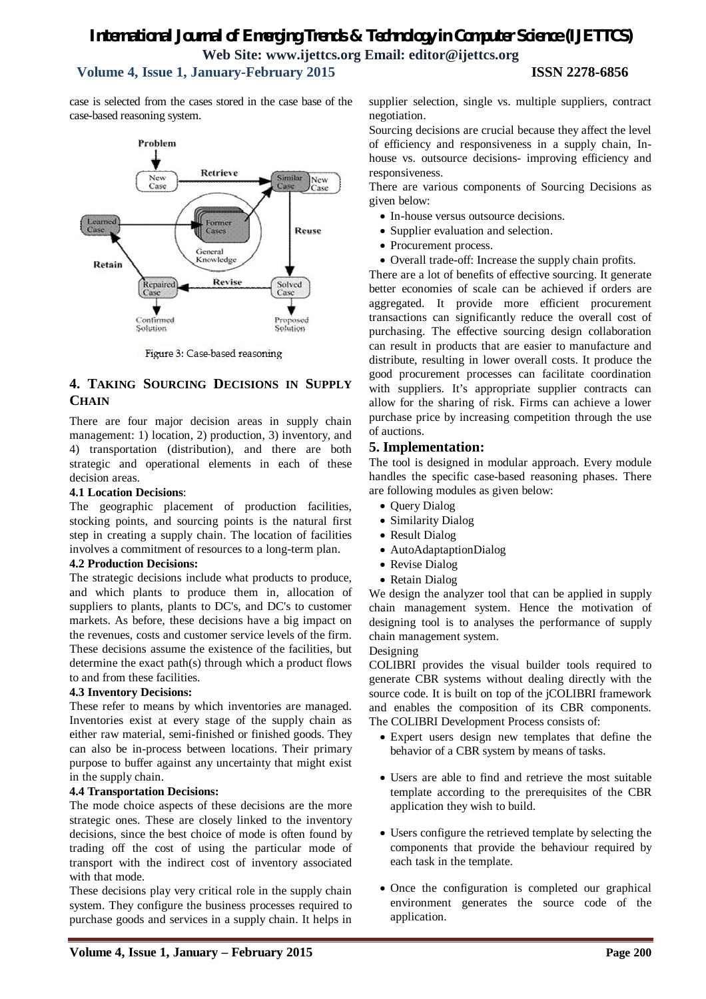case is selected from the cases stored in the case base of the case-based reasoning system.

#### Problem Retrieve New Similar New Case  $Case$ Former<br>Cases Reuse General<br>Knowledge Retain Revise Repaired Solved Case Confirmed Proposed **Solution** Solution

Figure 3: Case-based reasoning

# **4. TAKING SOURCING DECISIONS IN SUPPLY CHAIN**

There are four major decision areas in supply chain management: 1) location, 2) production, 3) inventory, and 4) transportation (distribution), and there are both strategic and operational elements in each of these decision areas.

#### **4.1 Location Decisions**:

The geographic placement of production facilities, stocking points, and sourcing points is the natural first step in creating a supply chain. The location of facilities involves a commitment of resources to a long-term plan.

#### **4.2 Production Decisions:**

The strategic decisions include what products to produce, and which plants to produce them in, allocation of suppliers to plants, plants to DC's, and DC's to customer markets. As before, these decisions have a big impact on the revenues, costs and customer service levels of the firm. These decisions assume the existence of the facilities, but determine the exact path(s) through which a product flows to and from these facilities.

### **4.3 Inventory Decisions:**

These refer to means by which inventories are managed. Inventories exist at every stage of the supply chain as either raw material, semi-finished or finished goods. They can also be in-process between locations. Their primary purpose to buffer against any uncertainty that might exist in the supply chain.

### **4.4 Transportation Decisions:**

The mode choice aspects of these decisions are the more strategic ones. These are closely linked to the inventory decisions, since the best choice of mode is often found by trading off the cost of using the particular mode of transport with the indirect cost of inventory associated with that mode.

These decisions play very critical role in the supply chain system. They configure the business processes required to purchase goods and services in a supply chain. It helps in

supplier selection, single vs. multiple suppliers, contract negotiation.

Sourcing decisions are crucial because they affect the level of efficiency and responsiveness in a supply chain, Inhouse vs. outsource decisions- improving efficiency and responsiveness.

There are various components of Sourcing Decisions as given below:

- In-house versus outsource decisions.
- Supplier evaluation and selection.
- Procurement process.
- Overall trade-off: Increase the supply chain profits.

There are a lot of benefits of effective sourcing. It generate better economies of scale can be achieved if orders are aggregated. It provide more efficient procurement transactions can significantly reduce the overall cost of purchasing. The effective sourcing design collaboration can result in products that are easier to manufacture and distribute, resulting in lower overall costs. It produce the good procurement processes can facilitate coordination with suppliers. It's appropriate supplier contracts can allow for the sharing of risk. Firms can achieve a lower purchase price by increasing competition through the use of auctions.

# **5. Implementation:**

The tool is designed in modular approach. Every module handles the specific case-based reasoning phases. There are following modules as given below:

- Query Dialog
- Similarity Dialog
- Result Dialog
- AutoAdaptaptionDialog
- Revise Dialog
- Retain Dialog

We design the analyzer tool that can be applied in supply chain management system. Hence the motivation of designing tool is to analyses the performance of supply chain management system.

#### Designing

COLIBRI provides the visual builder tools required to generate CBR systems without dealing directly with the source code. It is built on top of the jCOLIBRI framework and enables the composition of its CBR components. The COLIBRI Development Process consists of:

- Expert users design new templates that define the behavior of a CBR system by means of tasks.
- Users are able to find and retrieve the most suitable template according to the prerequisites of the CBR application they wish to build.
- Users configure the retrieved template by selecting the components that provide the behaviour required by each task in the template.
- Once the configuration is completed our graphical environment generates the source code of the application.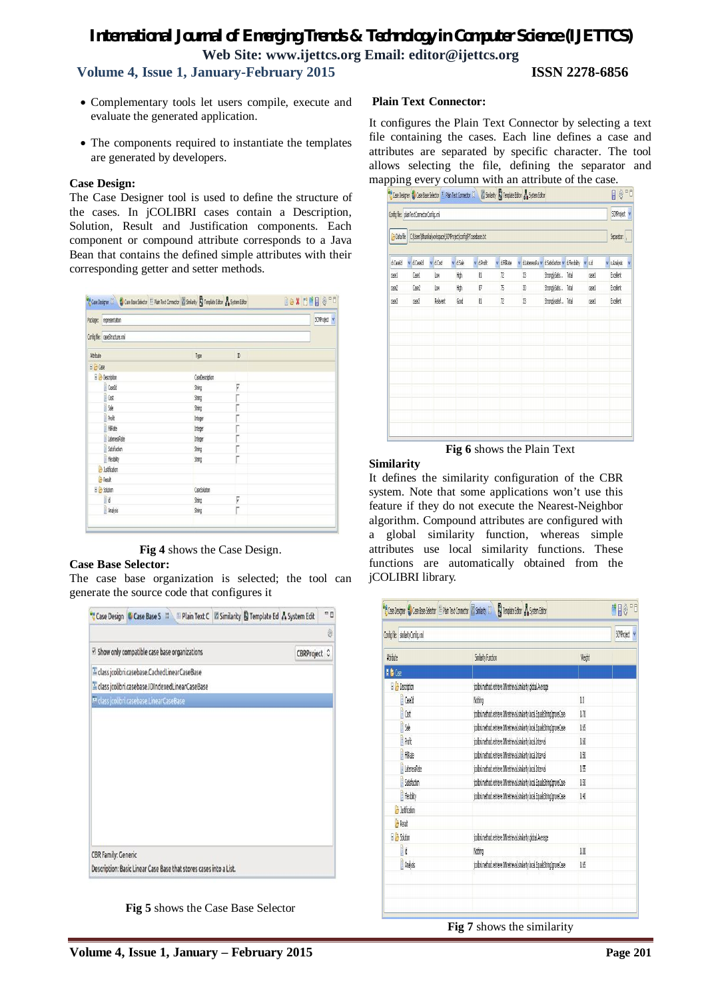- Complementary tools let users compile, execute and evaluate the generated application.
- The components required to instantiate the templates are generated by developers.

#### **Case Design:**

The Case Designer tool is used to define the structure of the cases. In jCOLIBRI cases contain a Description, Solution, Result and Justification components. Each component or compound attribute corresponds to a Java Bean that contains the defined simple attributes with their corresponding getter and setter methods.

|                    | Package: representation        |                 |   | SCMProject v |
|--------------------|--------------------------------|-----------------|---|--------------|
|                    | Config file: caseStructure.xml |                 |   |              |
| Athbute            |                                | Type            | D |              |
| $B$ $\ominus$ Case |                                |                 |   |              |
|                    | <b>B</b> Description           | CaseDescription |   |              |
|                    | Caseld                         | String          | V |              |
|                    | Gost                           | String          |   |              |
|                    | <b>Sale</b>                    | <b>String</b>   |   |              |
|                    | <b>Profit</b>                  | Integer         |   |              |
|                    | FiRate                         | Integer         |   |              |
|                    | LatenessRate                   | Integer         |   |              |
|                    | Satisfaction                   | 9mg             |   |              |
|                    | Flexbity                       | String          |   |              |
|                    | by Justification               |                 |   |              |
|                    | <b>B</b> Result                |                 |   |              |
|                    | B & Solution                   | CaseSolution    |   |              |
|                    | Bid                            | String          | V |              |
|                    | Analysis                       | Sting           |   |              |

**Fig 4** shows the Case Design.

### **Case Base Selector:**

The case base organization is selected; the tool can generate the source code that configures it

|                            |                                          | Case Design (Case Base S 23) Ill Plain Text C El Similarity & Template Ed & System Edit |  |              | e g |
|----------------------------|------------------------------------------|-----------------------------------------------------------------------------------------|--|--------------|-----|
|                            |                                          |                                                                                         |  |              | 0   |
|                            |                                          | ☑ Show only compatible case base organizations                                          |  | CBRProject C |     |
|                            |                                          | A class jcolibri.casebase.CachedLinearCaseBase                                          |  |              |     |
|                            |                                          | dass jcolibri.casebase.IDIndexedLinearCaseBase                                          |  |              |     |
|                            | M class jcolibri.casebase.LinearCaseBase |                                                                                         |  |              |     |
|                            |                                          |                                                                                         |  |              |     |
|                            |                                          |                                                                                         |  |              |     |
|                            |                                          |                                                                                         |  |              |     |
|                            |                                          |                                                                                         |  |              |     |
|                            |                                          |                                                                                         |  |              |     |
|                            |                                          |                                                                                         |  |              |     |
|                            |                                          |                                                                                         |  |              |     |
|                            |                                          |                                                                                         |  |              |     |
|                            |                                          |                                                                                         |  |              |     |
| <b>CBR Family: Generic</b> |                                          |                                                                                         |  |              |     |
|                            |                                          | Description: Basic Linear Case Base that stores cases into a List.                      |  |              |     |

**Fig 5** shows the Case Base Selector

#### **Plain Text Connector:**

It configures the Plain Text Connector by selecting a text file containing the cases. Each line defines a case and attributes are separated by specific character. The tool allows selecting the file, defining the separator and mapping every column with an attribute of the case.

| <b>B</b> Data file | Config file: plainTextConnectorConfig.xnl<br>C:\Users\Bhunika\workspace\SCMProject\config\PTcasebase.txt |  |          |         |  |            |  |           | SCMProject v<br>Separator:  , |                                |       |       |                 |   |
|--------------------|----------------------------------------------------------------------------------------------------------|--|----------|---------|--|------------|--|-----------|-------------------------------|--------------------------------|-------|-------|-----------------|---|
| d.CaseId           | v d Caseld                                                                                               |  | v d.Cost | v dSale |  | v d.Profit |  | v dFIRate | v dJatenessRa v               | d.Satisfaction v d.Flexibility |       | v sid | v s Analysis    | Y |
| casel              | Casel                                                                                                    |  | Low      | High    |  | 81         |  | n         | 3                             | StronglySabis                  | Total | case! | <b>Excelent</b> |   |
| case2              | Case2                                                                                                    |  | Low      | High    |  | 87         |  | 75        | 30                            | StronglySatis Total            |       | casel | Excelent        |   |
| 0.883              | Geê3                                                                                                     |  | Relavent | Good    |  | 81         |  | n         | 3                             | Stronglysabisf Total           |       | casel | <b>Excelent</b> |   |
|                    |                                                                                                          |  |          |         |  |            |  |           |                               |                                |       |       |                 |   |
|                    |                                                                                                          |  |          |         |  |            |  |           |                               |                                |       |       |                 |   |

**Fig 6** shows the Plain Text

#### **Similarity**

It defines the similarity configuration of the CBR system. Note that some applications won't use this feature if they do not execute the Nearest-Neighbor algorithm. Compound attributes are configured with a global similarity function, whereas simple attributes use local similarity functions. These functions are automatically obtained from the jCOLIBRI library.

| Config file: sinilarityConfig.xnl |                                                                            |         | <b>SOMProject</b> |
|-----------------------------------|----------------------------------------------------------------------------|---------|-------------------|
| Attribute                         | Sinilarity Function                                                        | Weight. |                   |
| I & Case                          |                                                                            |         |                   |
| <b>B</b> Description              | jcolbri.method.retrieve.Mhetrieval.simlarity.global.Average                |         |                   |
| Casebb                            | Nothing                                                                    | 0.0     |                   |
| <b>B</b> Cost                     | jcolbri.method.retrieve.NNretrieval.simlarity.local.Equals9tringIgnoreCase | 0,70    |                   |
| b                                 | jcolbri.method.retrieve.NNretrieval.simlarity.local.Equals9tringIgnoreCase | 0.65    |                   |
| <b>B</b> Profit                   | icolbri.method.retrieve.NNretrieval.simlarity.local.Interval               | 0.60    |                   |
| Filkate                           | jcolbri.method.retrieve.NNretrieval.simlarity.local.Interval               | 0.50    |                   |
| LatenessRate                      | jcolbri.method.retrieve.NNretrieval.simlarity.local.Interval               | 0.55    |                   |
| Satisfaction                      | jcolbri.method.retrieve.Mhetrieval.simlarity.local.Equals9tringIgnoreCase  | 0.50    |                   |
| Flexbity                          | jcolbri.method.retrieve.Mhetrieval.simlarity.local.Equals9tringIgnoreCase  | 0.40    |                   |
| <b>B</b> Justfication             |                                                                            |         |                   |
| <b>B</b> Result                   |                                                                            |         |                   |
| El <sup>23</sup> Solution         | jcolbri.method.retrieve.Mhretrieval.similarity.global.Average              |         |                   |
| Bid                               | Noting                                                                     | 0.00    |                   |
| Analysis                          | jcolbri.method.retrieve.NNretrieval.simlarity.local.Equals9tringIgnoreCase | 0.65    |                   |
|                                   |                                                                            |         |                   |

**Fig 7** shows the similarity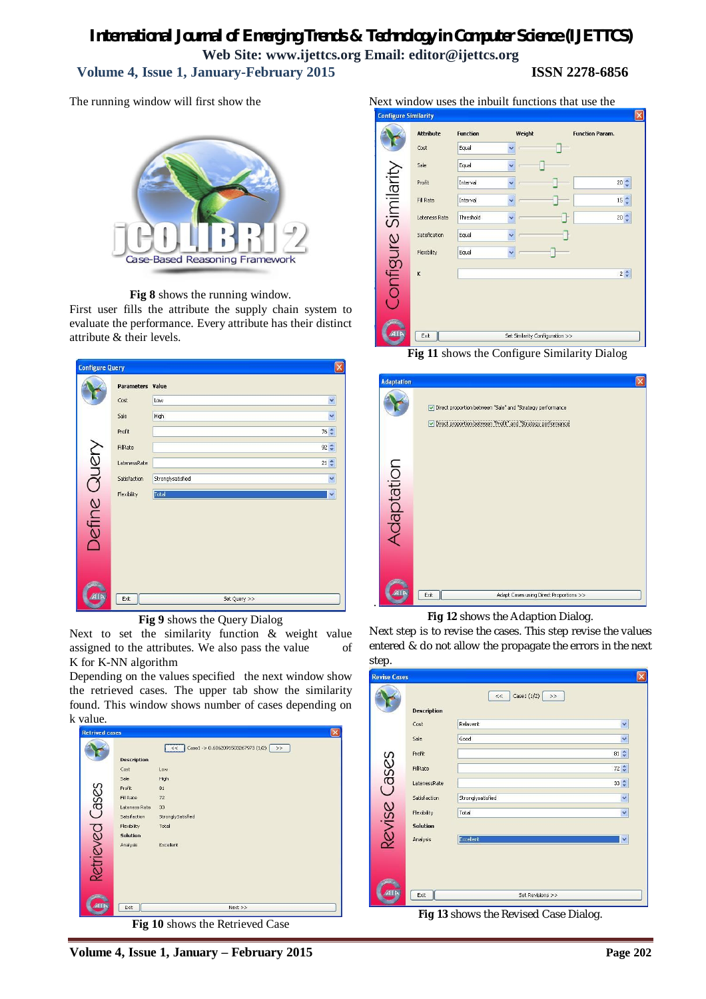The running window will first show the



**Fig 8** shows the running window.

First user fills the attribute the supply chain system to evaluate the performance. Every attribute has their distinct attribute & their levels.

| <b>Configure Query</b> |                         |                   |                  | $[\times]$   |
|------------------------|-------------------------|-------------------|------------------|--------------|
|                        | <b>Parameters Value</b> |                   |                  |              |
|                        | Cost                    | Low               |                  | $\check{}$   |
|                        | Sale                    | High              |                  | $\checkmark$ |
|                        | Profit                  |                   | $76 \frac{4}{9}$ |              |
|                        | FillRate                |                   | $92 \frac{A}{V}$ |              |
| Define Query           | LatenessRate            |                   | $21 \div$        |              |
|                        | Satisfaction            | Stronglysatisfied |                  | Y            |
|                        | Flexibility             | Total             |                  | v            |
|                        |                         |                   |                  |              |
|                        |                         |                   |                  |              |
|                        |                         |                   |                  |              |
|                        |                         |                   |                  |              |
|                        |                         |                   |                  |              |
|                        |                         |                   |                  |              |
|                        | Exit                    | Set Query >>      |                  |              |
|                        |                         |                   |                  |              |

**Fig 9** shows the Query Dialog

Next to set the similarity function & weight value assigned to the attributes. We also pass the value of K for K-NN algorithm

Depending on the values specified the next window show the retrieved cases. The upper tab show the similarity found. This window shows number of cases depending on



**Fig 10** shows the Retrieved Case

Next window uses the inbuilt functions that use the



**Fig 11** shows the Configure Similarity Dialog

| <b>Adaptation</b> | Direct proportion between "Sale" and "Strategy performance<br>Direct proportion between "Profit" and "Strategy performance |
|-------------------|----------------------------------------------------------------------------------------------------------------------------|
| Ndaptation        |                                                                                                                            |
|                   | Exit<br>Adapt Cases using Direct Proportions >>                                                                            |

**Fig 12** shows the Adaption Dialog.

Next step is to revise the cases. This step revise the values entered & do not allow the propagate the errors in the next step.

|              |                    | Case1 $(1/2)$ >><br>$<<$ |           |
|--------------|--------------------|--------------------------|-----------|
|              | <b>Description</b> |                          |           |
|              | Cost               | Relavent                 | Y         |
|              | Sale               | Good                     | Y         |
|              | Profit             |                          | $81 \div$ |
|              | FillRate           |                          | $72 \div$ |
|              | LatenessRate       |                          | $33 \div$ |
| Revise Cases | Satisfaction       | Stronglysatisfied        | Y         |
|              | Flexibility        | Total                    | Y         |
|              | <b>Solution</b>    |                          |           |
|              | Analysis           | Excellent                | Y         |
|              |                    |                          |           |
|              |                    |                          |           |
|              |                    |                          |           |

**Fig 13** shows the Revised Case Dialog.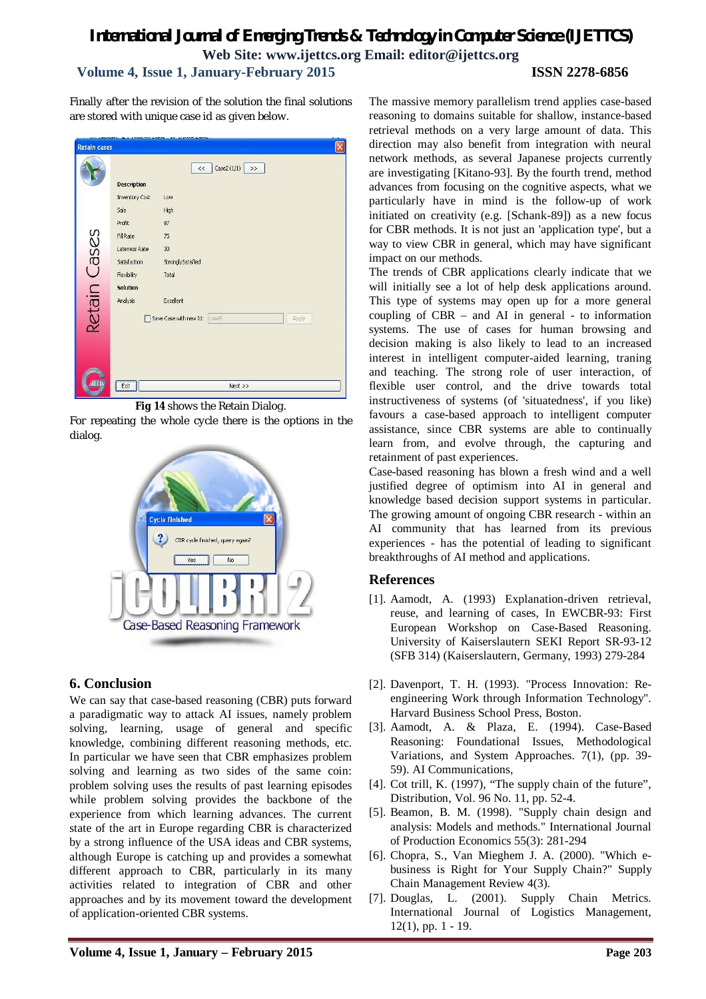Finally after the revision of the solution the final solutions are stored with unique case id as given below.



**Fig 14** shows the Retain Dialog.

For repeating the whole cycle there is the options in the dialog.



# **6. Conclusion**

We can say that case-based reasoning (CBR) puts forward a paradigmatic way to attack AI issues, namely problem solving, learning, usage of general and specific knowledge, combining different reasoning methods, etc. In particular we have seen that CBR emphasizes problem solving and learning as two sides of the same coin: problem solving uses the results of past learning episodes while problem solving provides the backbone of the experience from which learning advances. The current state of the art in Europe regarding CBR is characterized by a strong influence of the USA ideas and CBR systems, although Europe is catching up and provides a somewhat different approach to CBR, particularly in its many activities related to integration of CBR and other approaches and by its movement toward the development of application-oriented CBR systems.

The massive memory parallelism trend applies case-based reasoning to domains suitable for shallow, instance-based retrieval methods on a very large amount of data. This direction may also benefit from integration with neural network methods, as several Japanese projects currently are investigating [Kitano-93]. By the fourth trend, method advances from focusing on the cognitive aspects, what we particularly have in mind is the follow-up of work initiated on creativity (e.g. [Schank-89]) as a new focus for CBR methods. It is not just an 'application type', but a way to view CBR in general, which may have significant impact on our methods.

The trends of CBR applications clearly indicate that we will initially see a lot of help desk applications around. This type of systems may open up for a more general coupling of CBR – and AI in general - to information systems. The use of cases for human browsing and decision making is also likely to lead to an increased interest in intelligent computer-aided learning, traning and teaching. The strong role of user interaction, of flexible user control, and the drive towards total instructiveness of systems (of 'situatedness', if you like) favours a case-based approach to intelligent computer assistance, since CBR systems are able to continually learn from, and evolve through, the capturing and retainment of past experiences.

Case-based reasoning has blown a fresh wind and a well justified degree of optimism into AI in general and knowledge based decision support systems in particular. The growing amount of ongoing CBR research - within an AI community that has learned from its previous experiences - has the potential of leading to significant breakthroughs of AI method and applications.

# **References**

- [1]. Aamodt, A. (1993) Explanation-driven retrieval, reuse, and learning of cases, In EWCBR-93: First European Workshop on Case-Based Reasoning. University of Kaiserslautern SEKI Report SR-93-12 (SFB 314) (Kaiserslautern, Germany, 1993) 279-284
- [2]. Davenport, T. H. (1993). "Process Innovation: Reengineering Work through Information Technology". Harvard Business School Press, Boston.
- [3]. Aamodt, A. & Plaza, E. (1994). Case-Based Reasoning: Foundational Issues, Methodological Variations, and System Approaches. 7(1), (pp. 39- 59). AI Communications,
- [4]. Cot trill, K. (1997), "The supply chain of the future", Distribution, Vol. 96 No. 11, pp. 52-4.
- [5]. Beamon, B. M. (1998). "Supply chain design and analysis: Models and methods." International Journal of Production Economics 55(3): 281-294
- [6]. Chopra, S., Van Mieghem J. A. (2000). "Which ebusiness is Right for Your Supply Chain?" Supply Chain Management Review 4(3).
- [7]. Douglas, L. (2001). Supply Chain Metrics. International Journal of Logistics Management, 12(1), pp. 1 - 19.